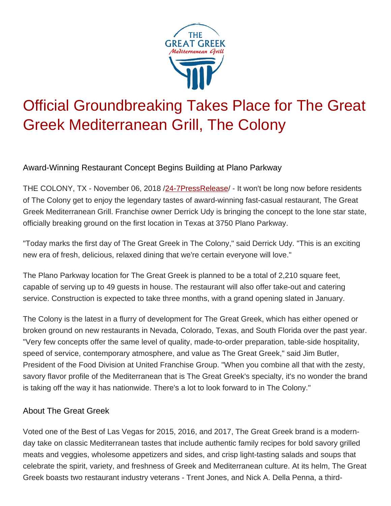

## Official Groundbreaking Takes Place for The Great Greek Mediterranean Grill, The Colony

Award-Winning Restaurant Concept Begins Building at Plano Parkway

THE COLONY, TX - November 06, 2018 /[24-7PressRelease](http://www.24-7pressrelease.com/)/ - It won't be long now before residents of The Colony get to enjoy the legendary tastes of award-winning fast-casual restaurant, The Great Greek Mediterranean Grill. Franchise owner Derrick Udy is bringing the concept to the lone star state, officially breaking ground on the first location in Texas at 3750 Plano Parkway.

"Today marks the first day of The Great Greek in The Colony," said Derrick Udy. "This is an exciting new era of fresh, delicious, relaxed dining that we're certain everyone will love."

The Plano Parkway location for The Great Greek is planned to be a total of 2,210 square feet, capable of serving up to 49 guests in house. The restaurant will also offer take-out and catering service. Construction is expected to take three months, with a grand opening slated in January.

The Colony is the latest in a flurry of development for The Great Greek, which has either opened or broken ground on new restaurants in Nevada, Colorado, Texas, and South Florida over the past year. "Very few concepts offer the same level of quality, made-to-order preparation, table-side hospitality, speed of service, contemporary atmosphere, and value as The Great Greek," said Jim Butler, President of the Food Division at United Franchise Group. "When you combine all that with the zesty, savory flavor profile of the Mediterranean that is The Great Greek's specialty, it's no wonder the brand is taking off the way it has nationwide. There's a lot to look forward to in The Colony."

## About The Great Greek

Voted one of the Best of Las Vegas for 2015, 2016, and 2017, The Great Greek brand is a modernday take on classic Mediterranean tastes that include authentic family recipes for bold savory grilled meats and veggies, wholesome appetizers and sides, and crisp light-tasting salads and soups that celebrate the spirit, variety, and freshness of Greek and Mediterranean culture. At its helm, The Great Greek boasts two restaurant industry veterans - Trent Jones, and Nick A. Della Penna, a third-